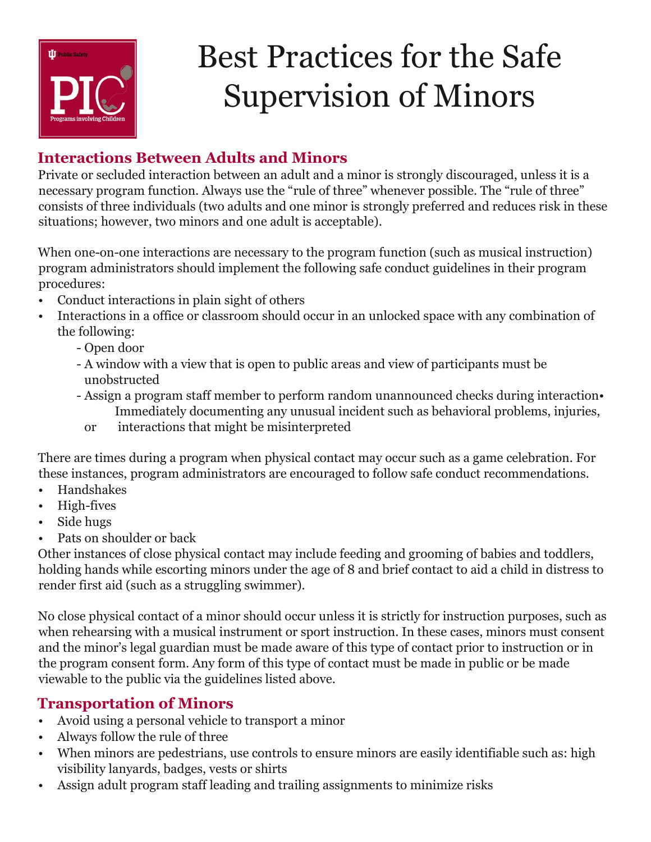

# Best Practices for the Safe Supervision of Minors

## **Interactions Between Adults and Minors**

Private or secluded interaction between an adult and a minor is strongly discouraged, unless it is a necessary program function. Always use the "rule of three" whenever possible. The "rule of three" consists of three individuals (two adults and one minor is strongly preferred and reduces risk in these situations; however, two minors and one adult is acceptable).

When one-on-one interactions are necessary to the program function (such as musical instruction) program administrators should implement the following safe conduct guidelines in their program procedures:

- Conduct interactions in plain sight of others
- Interactions in a office or classroom should occur in an unlocked space with any combination of the following:
	- Open door
	- A window with a view that is open to public areas and view of participants must be unobstructed
	- Assign a program staff member to perform random unannounced checks during interaction• Immediately documenting any unusual incident such as behavioral problems, injuries,
		- or interactions that might be misinterpreted

There are times during a program when physical contact may occur such as a game celebration. For these instances, program administrators are encouraged to follow safe conduct recommendations.

- Handshakes
- High-fives
- Side hugs
- Pats on shoulder or back

Other instances of close physical contact may include feeding and grooming of babies and toddlers, holding hands while escorting minors under the age of 8 and brief contact to aid a child in distress to render first aid (such as a struggling swimmer).

No close physical contact of a minor should occur unless it is strictly for instruction purposes, such as when rehearsing with a musical instrument or sport instruction. In these cases, minors must consent and the minor's legal guardian must be made aware of this type of contact prior to instruction or in the program consent form. Any form of this type of contact must be made in public or be made viewable to the public via the guidelines listed above.

### **Transportation of Minors**

- Avoid using a personal vehicle to transport a minor
- Always follow the rule of three
- When minors are pedestrians, use controls to ensure minors are easily identifiable such as: high visibility lanyards, badges, vests or shirts
- Assign adult program staff leading and trailing assignments to minimize risks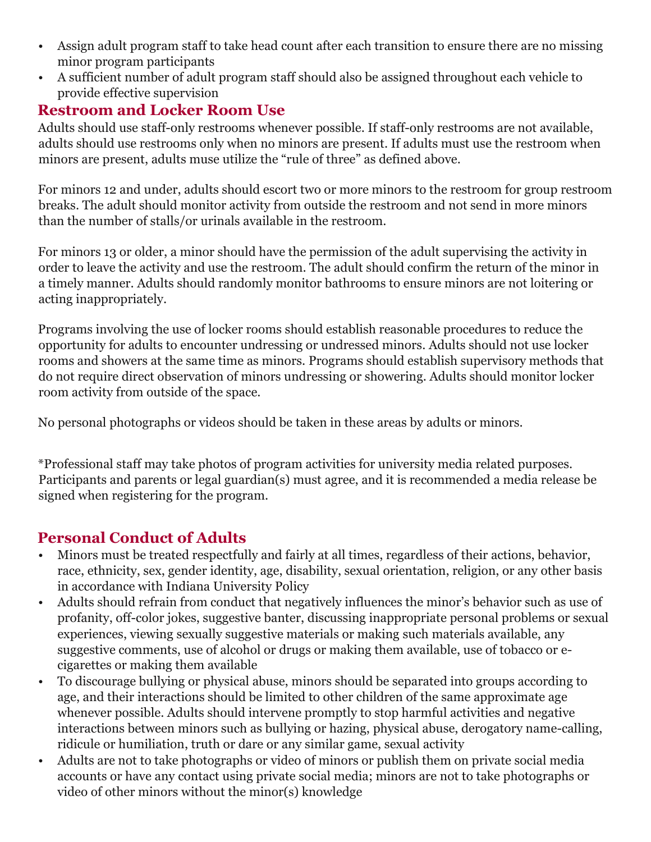- Assign adult program staff to take head count after each transition to ensure there are no missing minor program participants
- A sufficient number of adult program staff should also be assigned throughout each vehicle to provide effective supervision

## **Restroom and Locker Room Use**

Adults should use staff-only restrooms whenever possible. If staff-only restrooms are not available, adults should use restrooms only when no minors are present. If adults must use the restroom when minors are present, adults muse utilize the "rule of three" as defined above.

For minors 12 and under, adults should escort two or more minors to the restroom for group restroom breaks. The adult should monitor activity from outside the restroom and not send in more minors than the number of stalls/or urinals available in the restroom.

For minors 13 or older, a minor should have the permission of the adult supervising the activity in order to leave the activity and use the restroom. The adult should confirm the return of the minor in a timely manner. Adults should randomly monitor bathrooms to ensure minors are not loitering or acting inappropriately.

Programs involving the use of locker rooms should establish reasonable procedures to reduce the opportunity for adults to encounter undressing or undressed minors. Adults should not use locker rooms and showers at the same time as minors. Programs should establish supervisory methods that do not require direct observation of minors undressing or showering. Adults should monitor locker room activity from outside of the space.

No personal photographs or videos should be taken in these areas by adults or minors.

\*Professional staff may take photos of program activities for university media related purposes. Participants and parents or legal guardian(s) must agree, and it is recommended a media release be signed when registering for the program.

### **Personal Conduct of Adults**

- Minors must be treated respectfully and fairly at all times, regardless of their actions, behavior, race, ethnicity, sex, gender identity, age, disability, sexual orientation, religion, or any other basis in accordance with Indiana University Policy
- Adults should refrain from conduct that negatively influences the minor's behavior such as use of profanity, off-color jokes, suggestive banter, discussing inappropriate personal problems or sexual experiences, viewing sexually suggestive materials or making such materials available, any suggestive comments, use of alcohol or drugs or making them available, use of tobacco or ecigarettes or making them available
- To discourage bullying or physical abuse, minors should be separated into groups according to age, and their interactions should be limited to other children of the same approximate age whenever possible. Adults should intervene promptly to stop harmful activities and negative interactions between minors such as bullying or hazing, physical abuse, derogatory name-calling, ridicule or humiliation, truth or dare or any similar game, sexual activity
- Adults are not to take photographs or video of minors or publish them on private social media accounts or have any contact using private social media; minors are not to take photographs or video of other minors without the minor(s) knowledge